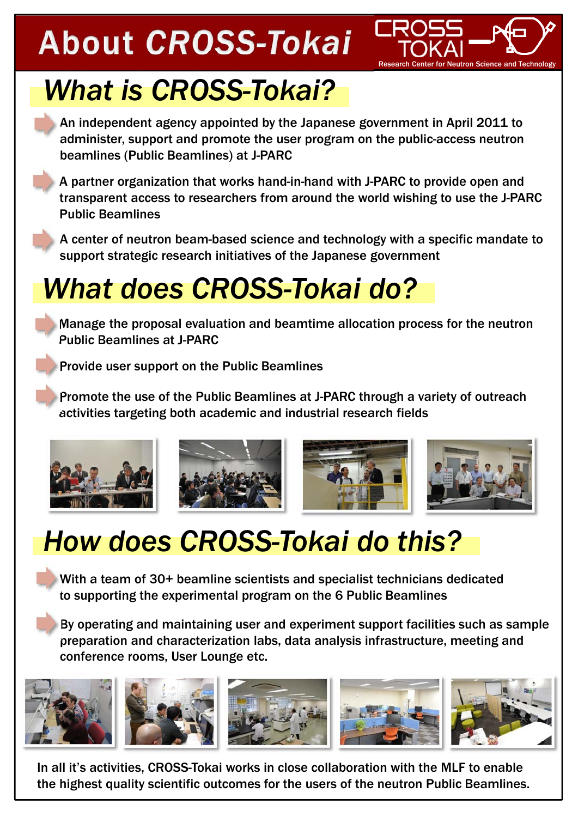# **About CROSS-Tokai**



# *What is CROSS-Tokai?*

An independent agency appointed by the Japanese government in April 2011 to administer, support and promote the user program on the public-access neutron beamlines (Public Beamlines) at J-PARC

A partner organization that works hand-in-hand with J-PARC to provide open and transparent access to researchers from around the world wishing to use the J-PARC Public Beamlines

A center of neutron beam-based science and technology with a specific mandate to support strategic research initiatives of the Japanese government

# *What does CROSS-Tokai do?*

Manage the proposal evaluation and beamtime allocation process for the neutron Public Beamlines at J-PARC

Provide user support on the Public Beamlines

Promote the use of the Public Beamlines at J-PARC through a variety of outreach activities targeting both academic and industrial research fields



# *How does CROSS-Tokai do this?*

With a team of 30+ beamline scientists and specialist technicians dedicated to supporting the experimental program on the 6 Public Beamlines

By operating and maintaining user and experiment support facilities such as sample preparation and characterization labs, data analysis infrastructure, meeting and conference rooms, User Lounge etc.



In all it's activities, CROSS-Tokai works in close collaboration with the MLF to enable the highest quality scientific outcomes for the users of the neutron Public Beamlines.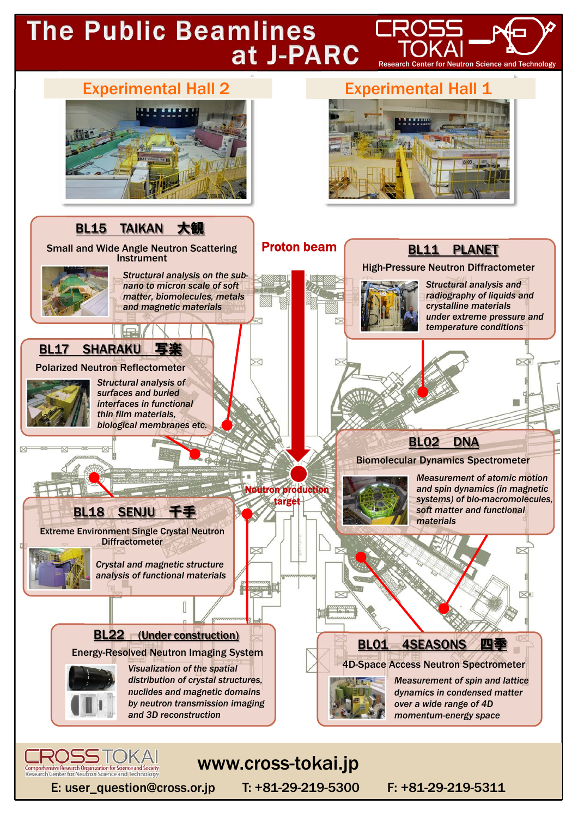# **The Public Beamlines** at J-PARC



www.cross-tokai.jp

E: user\_question@cross.or.jp T: +81-29-219-5300 F: +81-29-219-5311

ROSS TOKAI Comprehensive Research Organization for Science and Society<br>Research Center for Neutron Science and Technology